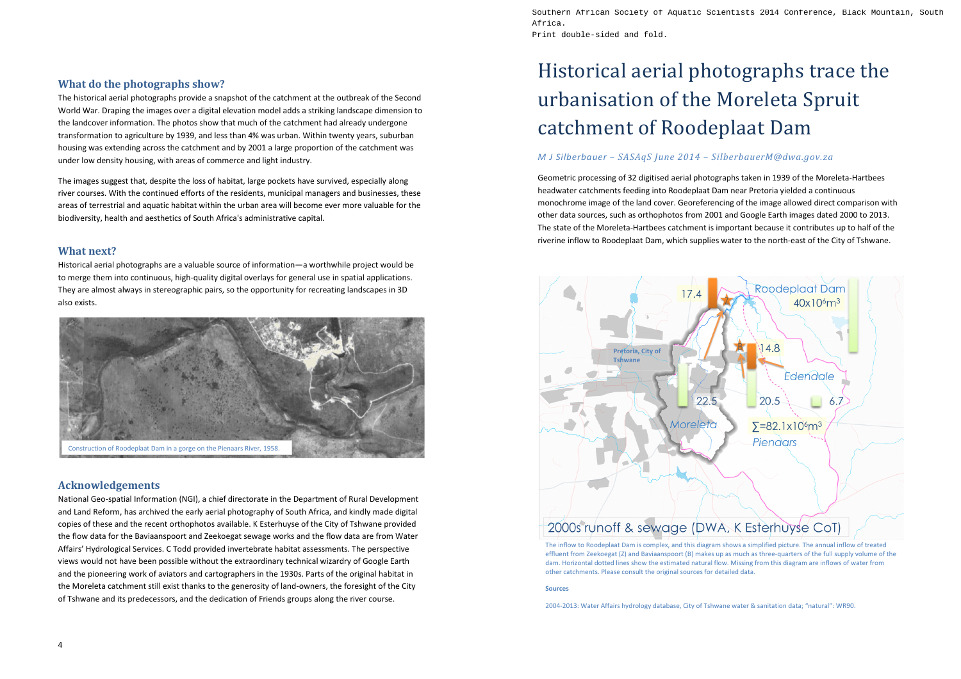## **What do the photographs show?**

The historical aerial photographs provide a snapshot of the catchment at the outbreak of the Second World War. Draping the images over a digital elevation model adds a striking landscape dimension to the landcover information. The photos show that much of the catchment had already undergone transformation to agriculture by 1939, and less than 4% was urban. Within twenty years, suburban housing was extending across the catchment and by 2001 a large proportion of the catchment was under low density housing, with areas of commerce and light industry.

The images suggest that, despite the loss of habitat, large pockets have survived, especially along river courses. With the continued efforts of the residents, municipal managers and businesses, these areas of terrestrial and aquatic habitat within the urban area will become ever more valuable for the biodiversity, health and aesthetics of South Africa's administrative capital.

## **What next?**

Historical aerial photographs are a valuable source of information—a worthwhile project would be to merge them into continuous, high-quality digital overlays for general use in spatial applications. They are almost always in stereographic pairs, so the opportunity for recreating landscapes in 3D also exists.

## **Acknowledgements**

National Geo-spatial Information (NGI), a chief directorate in the Department of Rural Development and Land Reform, has archived the early aerial photography of South Africa, and kindly made digital copies of these and the recent orthophotos available. K Esterhuyse of the City of Tshwane provided the flow data for the Baviaanspoort and Zeekoegat sewage works and the flow data are from Water Affairs' Hydrological Services. C Todd provided invertebrate habitat assessments. The perspective views would not have been possible without the extraordinary technical wizardry of Google Earth and the pioneering work of aviators and cartographers in the 1930s. Parts of the original habitat in the Moreleta catchment still exist thanks to the generosity of land-owners, the foresight of the City of Tshwane and its predecessors, and the dedication of Friends groups along the river course.

# Historical aerial photographs trace the urbanisation of the Moreleta Spruit catchment of Roodeplaat Dam

## *M J Silberbauer – SASAqS June 2014 – SilberbauerM@dwa.gov.za*

Geometric processing of 32 digitised aerial photographs taken in 1939 of the Moreleta-Hartbees headwater catchments feeding into Roodeplaat Dam near Pretoria yielded a continuous monochrome image of the land cover. Georeferencing of the image allowed direct comparison with other data sources, such as orthophotos from 2001 and Google Earth images dated 2000 to 2013. The state of the Moreleta-Hartbees catchment is important because it contributes up to half of the riverine inflow to Roodeplaat Dam, which supplies water to the north-east of the City of Tshwane.

### **Sources**



effluent from Zeekoegat (Z) and Baviaanspoort (B) makes up as much as three-quarters of the full supply volume of the dam. Horizontal dotted lines show the estimated natural flow. Missing from this diagram are inflows of water from other catchments. Please consult the original sources for detailed data.

2004-2013: Water Affairs hydrology database, City of Tshwane water & sanitation data; "natural": WR90.



Africa. Print double-sided and fold.